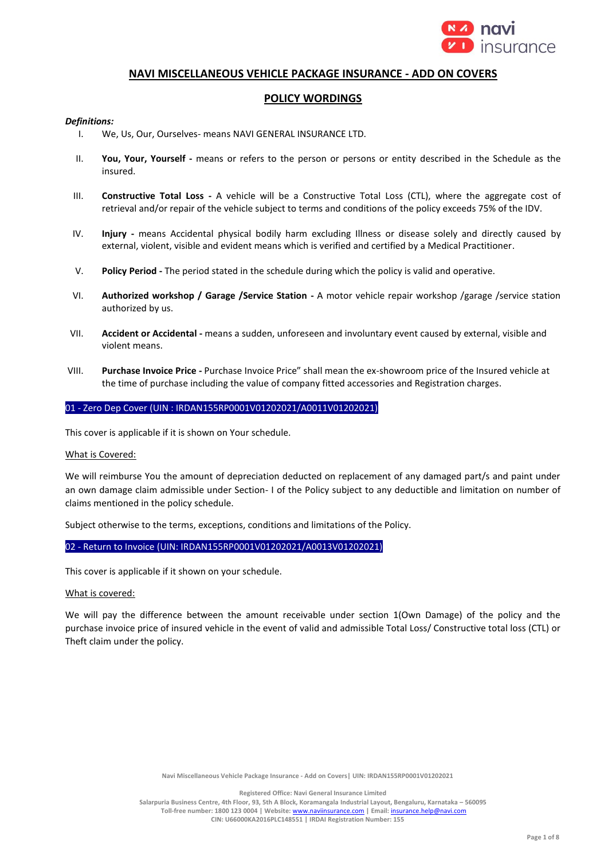

## **NAVI MISCELLANEOUS VEHICLE PACKAGE INSURANCE - ADD ON COVERS**

# **POLICY WORDINGS**

### *Definitions:*

- I. We, Us, Our, Ourselves- means NAVI GENERAL INSURANCE LTD.
- II. **You, Your, Yourself -** means or refers to the person or persons or entity described in the Schedule as the insured.
- III. **Constructive Total Loss -** A vehicle will be a Constructive Total Loss (CTL), where the aggregate cost of retrieval and/or repair of the vehicle subject to terms and conditions of the policy exceeds 75% of the IDV.
- IV. **Injury -** means Accidental physical bodily harm excluding Illness or disease solely and directly caused by external, violent, visible and evident means which is verified and certified by a Medical Practitioner.
- V. **Policy Period -** The period stated in the schedule during which the policy is valid and operative.
- VI. **Authorized workshop / Garage /Service Station -** A motor vehicle repair workshop /garage /service station authorized by us.
- VII. **Accident or Accidental -** means a sudden, unforeseen and involuntary event caused by external, visible and violent means.
- VIII. **Purchase Invoice Price -** Purchase Invoice Price" shall mean the ex-showroom price of the Insured vehicle at the time of purchase including the value of company fitted accessories and Registration charges.

### 01 - Zero Dep Cover (UIN : IRDAN155RP0001V01202021/A0011V01202021)

This cover is applicable if it is shown on Your schedule.

#### What is Covered:

We will reimburse You the amount of depreciation deducted on replacement of any damaged part/s and paint under an own damage claim admissible under Section- I of the Policy subject to any deductible and limitation on number of claims mentioned in the policy schedule.

Subject otherwise to the terms, exceptions, conditions and limitations of the Policy.

#### 02 - Return to Invoice (UIN: IRDAN155RP0001V01202021/A0013V01202021)

This cover is applicable if it shown on your schedule.

#### What is covered:

We will pay the difference between the amount receivable under section 1(Own Damage) of the policy and the purchase invoice price of insured vehicle in the event of valid and admissible Total Loss/ Constructive total loss (CTL) or Theft claim under the policy.

**Navi Miscellaneous Vehicle Package Insurance - Add on Covers| UIN: IRDAN155RP0001V01202021**

**Registered Office: Navi General Insurance Limited**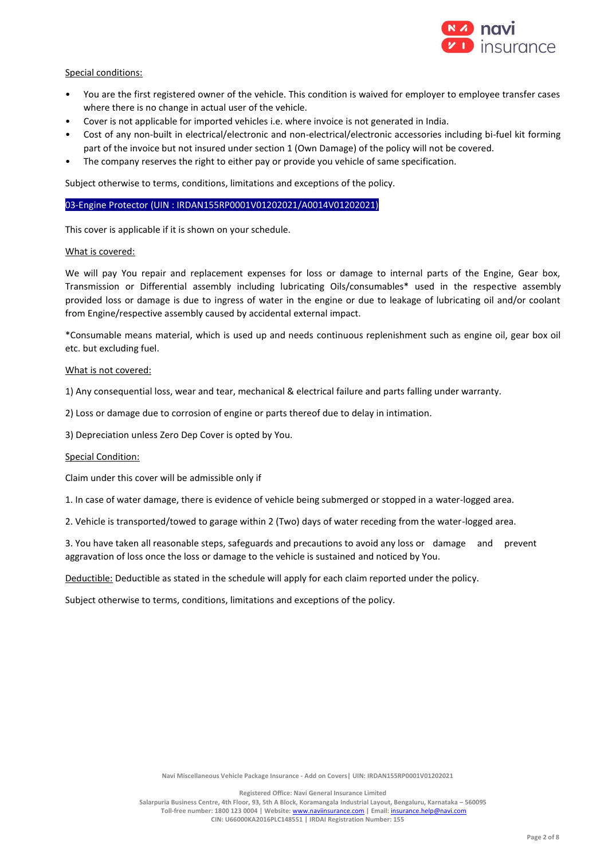

## Special conditions:

- You are the first registered owner of the vehicle. This condition is waived for employer to employee transfer cases where there is no change in actual user of the vehicle.
- Cover is not applicable for imported vehicles i.e. where invoice is not generated in India.
- Cost of any non-built in electrical/electronic and non-electrical/electronic accessories including bi-fuel kit forming part of the invoice but not insured under section 1 (Own Damage) of the policy will not be covered.
- The company reserves the right to either pay or provide you vehicle of same specification.

Subject otherwise to terms, conditions, limitations and exceptions of the policy.

#### 03-Engine Protector (UIN : IRDAN155RP0001V01202021/A0014V01202021)

This cover is applicable if it is shown on your schedule.

#### What is covered:

We will pay You repair and replacement expenses for loss or damage to internal parts of the Engine, Gear box, Transmission or Differential assembly including lubricating Oils/consumables\* used in the respective assembly provided loss or damage is due to ingress of water in the engine or due to leakage of lubricating oil and/or coolant from Engine/respective assembly caused by accidental external impact.

\*Consumable means material, which is used up and needs continuous replenishment such as engine oil, gear box oil etc. but excluding fuel.

#### What is not covered:

1) Any consequential loss, wear and tear, mechanical & electrical failure and parts falling under warranty.

2) Loss or damage due to corrosion of engine or parts thereof due to delay in intimation.

3) Depreciation unless Zero Dep Cover is opted by You.

#### Special Condition:

Claim under this cover will be admissible only if

1. In case of water damage, there is evidence of vehicle being submerged or stopped in a water-logged area.

2. Vehicle is transported/towed to garage within 2 (Two) days of water receding from the water-logged area.

3. You have taken all reasonable steps, safeguards and precautions to avoid any loss or damage and prevent aggravation of loss once the loss or damage to the vehicle is sustained and noticed by You.

Deductible: Deductible as stated in the schedule will apply for each claim reported under the policy.

Subject otherwise to terms, conditions, limitations and exceptions of the policy.

**Registered Office: Navi General Insurance Limited**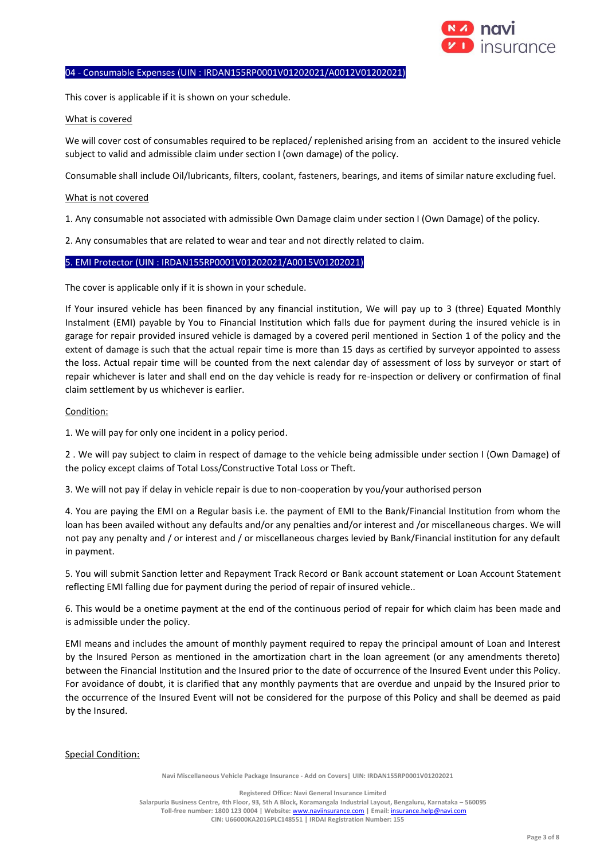

## 04 - Consumable Expenses (UIN : IRDAN155RP0001V01202021/A0012V01202021)

This cover is applicable if it is shown on your schedule.

#### What is covered

We will cover cost of consumables required to be replaced/ replenished arising from an accident to the insured vehicle subject to valid and admissible claim under section I (own damage) of the policy.

Consumable shall include Oil/lubricants, filters, coolant, fasteners, bearings, and items of similar nature excluding fuel.

#### What is not covered

1. Any consumable not associated with admissible Own Damage claim under section I (Own Damage) of the policy.

2. Any consumables that are related to wear and tear and not directly related to claim.

## 5. EMI Protector (UIN : IRDAN155RP0001V01202021/A0015V01202021)

The cover is applicable only if it is shown in your schedule.

If Your insured vehicle has been financed by any financial institution, We will pay up to 3 (three) Equated Monthly Instalment (EMI) payable by You to Financial Institution which falls due for payment during the insured vehicle is in garage for repair provided insured vehicle is damaged by a covered peril mentioned in Section 1 of the policy and the extent of damage is such that the actual repair time is more than 15 days as certified by surveyor appointed to assess the loss. Actual repair time will be counted from the next calendar day of assessment of loss by surveyor or start of repair whichever is later and shall end on the day vehicle is ready for re-inspection or delivery or confirmation of final claim settlement by us whichever is earlier.

### Condition:

1. We will pay for only one incident in a policy period.

2 . We will pay subject to claim in respect of damage to the vehicle being admissible under section I (Own Damage) of the policy except claims of Total Loss/Constructive Total Loss or Theft.

3. We will not pay if delay in vehicle repair is due to non-cooperation by you/your authorised person

4. You are paying the EMI on a Regular basis i.e. the payment of EMI to the Bank/Financial Institution from whom the loan has been availed without any defaults and/or any penalties and/or interest and /or miscellaneous charges. We will not pay any penalty and / or interest and / or miscellaneous charges levied by Bank/Financial institution for any default in payment.

5. You will submit Sanction letter and Repayment Track Record or Bank account statement or Loan Account Statement reflecting EMI falling due for payment during the period of repair of insured vehicle..

6. This would be a onetime payment at the end of the continuous period of repair for which claim has been made and is admissible under the policy.

EMI means and includes the amount of monthly payment required to repay the principal amount of Loan and Interest by the Insured Person as mentioned in the amortization chart in the loan agreement (or any amendments thereto) between the Financial Institution and the Insured prior to the date of occurrence of the Insured Event under this Policy. For avoidance of doubt, it is clarified that any monthly payments that are overdue and unpaid by the Insured prior to the occurrence of the Insured Event will not be considered for the purpose of this Policy and shall be deemed as paid by the Insured.

#### Special Condition:

**Navi Miscellaneous Vehicle Package Insurance - Add on Covers| UIN: IRDAN155RP0001V01202021**

**Registered Office: Navi General Insurance Limited**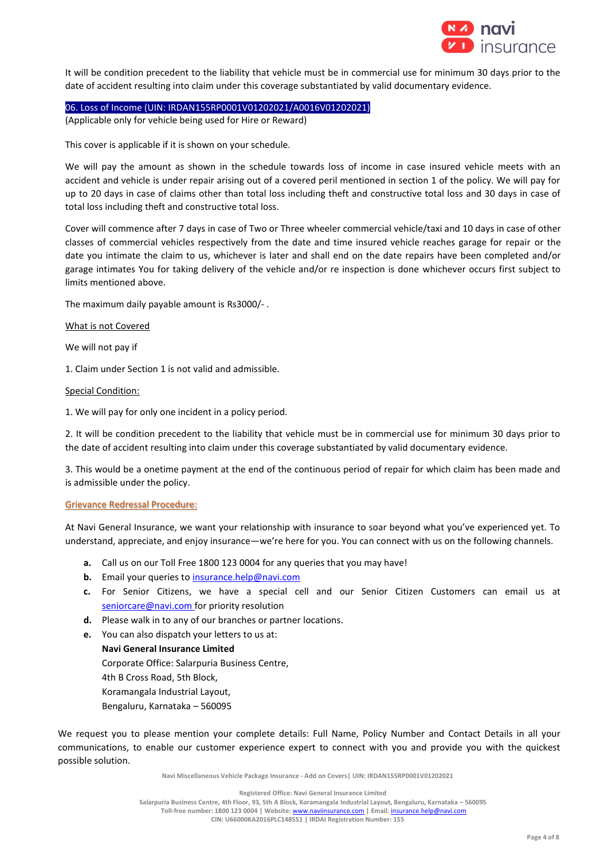

It will be condition precedent to the liability that vehicle must be in commercial use for minimum 30 days prior to the date of accident resulting into claim under this coverage substantiated by valid documentary evidence.

06. Loss of Income (UIN: IRDAN155RP0001V01202021/A0016V01202021) (Applicable only for vehicle being used for Hire or Reward)

This cover is applicable if it is shown on your schedule.

We will pay the amount as shown in the schedule towards loss of income in case insured vehicle meets with an accident and vehicle is under repair arising out of a covered peril mentioned in section 1 of the policy. We will pay for up to 20 days in case of claims other than total loss including theft and constructive total loss and 30 days in case of total loss including theft and constructive total loss.

Cover will commence after 7 days in case of Two or Three wheeler commercial vehicle/taxi and 10 days in case of other classes of commercial vehicles respectively from the date and time insured vehicle reaches garage for repair or the date you intimate the claim to us, whichever is later and shall end on the date repairs have been completed and/or garage intimates You for taking delivery of the vehicle and/or re inspection is done whichever occurs first subject to limits mentioned above.

The maximum daily payable amount is Rs3000/- .

What is not Covered

We will not pay if

1. Claim under Section 1 is not valid and admissible.

#### Special Condition:

1. We will pay for only one incident in a policy period.

2. It will be condition precedent to the liability that vehicle must be in commercial use for minimum 30 days prior to the date of accident resulting into claim under this coverage substantiated by valid documentary evidence.

3. This would be a onetime payment at the end of the continuous period of repair for which claim has been made and is admissible under the policy.

#### Grievance Redressal Procedure:

At Navi General Insurance, we want your relationship with insurance to soar beyond what you've experienced yet. To understand, appreciate, and enjoy insurance—we're here for you. You can connect with us on the following channels.

- **a.** Call us on our Toll Free 1800 123 0004 for any queries that you may have!
- **b.** Email your queries t[o insurance.help@navi.com](mailto:insurance.help@navi.com)
- **c.** For Senior Citizens, we have a special cell and our Senior Citizen Customers can email us at seniorcare@navi.com for priority resolution
- **d.** Please walk in to any of our branches or partner locations.
- **e.** You can also dispatch your letters to us at: **Navi General Insurance Limited** Corporate Office: Salarpuria Business Centre, 4th B Cross Road, 5th Block, Koramangala Industrial Layout, Bengaluru, Karnataka – 560095

We request you to please mention your complete details: Full Name, Policy Number and Contact Details in all your communications, to enable our customer experience expert to connect with you and provide you with the quickest possible solution.

**Navi Miscellaneous Vehicle Package Insurance - Add on Covers| UIN: IRDAN155RP0001V01202021**

**Registered Office: Navi General Insurance Limited**

**Salarpuria Business Centre, 4th Floor, 93, 5th A Block, Koramangala Industrial Layout, Bengaluru, Karnataka – 560095**

**Toll-free number: 1800 123 0004 | Website:** [www.naviinsurance.com](http://www.naviinsurance.com/) **| Email:** [insurance.help@navi.com](mailto:insurance.help@navi.com)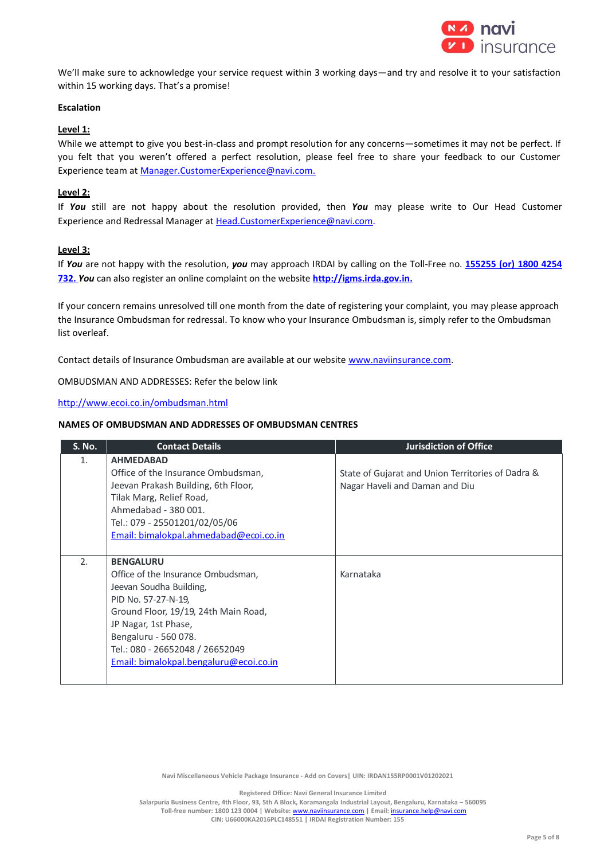

We'll make sure to acknowledge your service request within 3 working days—and try and resolve it to your satisfaction within 15 working days. That's a promise!

# **Escalation**

# **Level 1:**

While we attempt to give you best-in-class and prompt resolution for any concerns—sometimes it may not be perfect. If you felt that you weren't offered a perfect resolution, please feel free to share your feedback to our Customer Experience team a[t Manager.CustomerExperience@navi.com.](mailto:Manager.CustomerExperience@navi.com.) 

### **Level 2:**

If *You* still are not happy about the resolution provided, then *You* may please write to Our Head Customer Experience and Redressal Manager at [Head.CustomerExperience@navi.com.](mailto:Head.CustomerExperience@navi.com)

### **Level 3:**

If *You* are not happy with the resolution, *you* may approach IRDAI by calling on the Toll-Free no. **155255 (or) 1800 4254 732.** *You* can also register an online complaint on the website **[http://igms.irda.gov.in.](http://igms.irda.gov.in/)**

If your concern remains unresolved till one month from the date of registering your complaint, you may please approach the Insurance Ombudsman for redressal. To know who your Insurance Ombudsman is, simply refer to the Ombudsman list overleaf.

Contact details of Insurance Ombudsman are available at our website [www.naviinsurance.com.](http://www.naviinsurance.com/)

OMBUDSMAN AND ADDRESSES: Refer the below link

### <http://www.ecoi.co.in/ombudsman.html>

#### **NAMES OF OMBUDSMAN AND ADDRESSES OF OMBUDSMAN CENTRES**

| <b>S. No.</b> | <b>Contact Details</b>                 | <b>Jurisdiction of Office</b>                     |
|---------------|----------------------------------------|---------------------------------------------------|
| 1.            | <b>AHMEDABAD</b>                       |                                                   |
|               | Office of the Insurance Ombudsman,     | State of Gujarat and Union Territories of Dadra & |
|               | Jeevan Prakash Building, 6th Floor,    | Nagar Haveli and Daman and Diu                    |
|               | Tilak Marg, Relief Road,               |                                                   |
|               | Ahmedabad - 380 001.                   |                                                   |
|               | Tel.: 079 - 25501201/02/05/06          |                                                   |
|               | Email: bimalokpal.ahmedabad@ecoi.co.in |                                                   |
|               |                                        |                                                   |
| 2.            | <b>BENGALURU</b>                       |                                                   |
|               | Office of the Insurance Ombudsman,     | Karnataka                                         |
|               | Jeevan Soudha Building,                |                                                   |
|               | PID No. 57-27-N-19,                    |                                                   |
|               | Ground Floor, 19/19, 24th Main Road,   |                                                   |
|               | JP Nagar, 1st Phase,                   |                                                   |
|               | Bengaluru - 560 078.                   |                                                   |
|               | Tel.: 080 - 26652048 / 26652049        |                                                   |
|               | Email: bimalokpal.bengaluru@ecoi.co.in |                                                   |
|               |                                        |                                                   |

**Navi Miscellaneous Vehicle Package Insurance - Add on Covers| UIN: IRDAN155RP0001V01202021**

**Registered Office: Navi General Insurance Limited**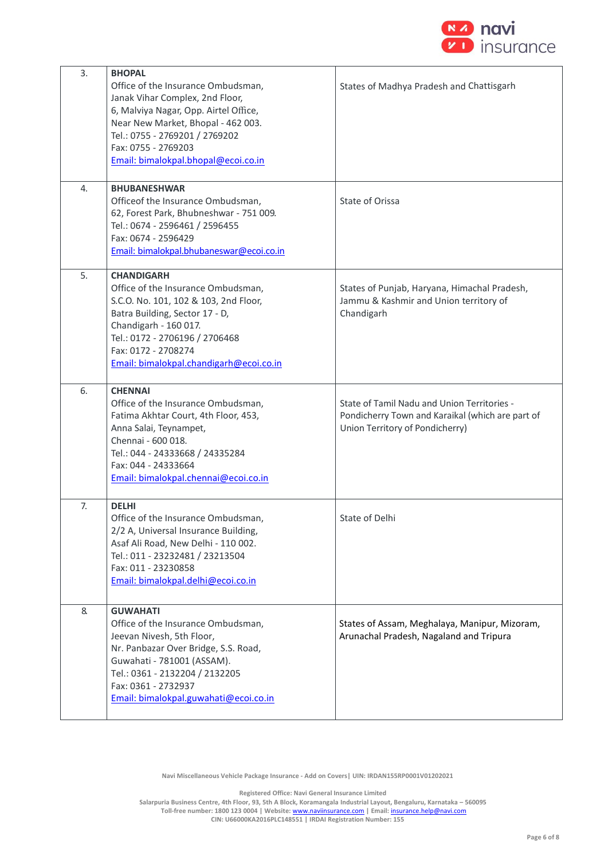

| 3. | <b>BHOPAL</b><br>Office of the Insurance Ombudsman,<br>Janak Vihar Complex, 2nd Floor,<br>6, Malviya Nagar, Opp. Airtel Office,<br>Near New Market, Bhopal - 462 003.<br>Tel.: 0755 - 2769201 / 2769202<br>Fax: 0755 - 2769203<br>Email: bimalokpal.bhopal@ecoi.co.in | States of Madhya Pradesh and Chattisgarh                                                                                           |
|----|-----------------------------------------------------------------------------------------------------------------------------------------------------------------------------------------------------------------------------------------------------------------------|------------------------------------------------------------------------------------------------------------------------------------|
| 4. | <b>BHUBANESHWAR</b><br>Officeof the Insurance Ombudsman,<br>62, Forest Park, Bhubneshwar - 751 009.<br>Tel.: 0674 - 2596461 / 2596455<br>Fax: 0674 - 2596429<br>Email: bimalokpal.bhubaneswar@ecoi.co.in                                                              | State of Orissa                                                                                                                    |
| 5. | <b>CHANDIGARH</b><br>Office of the Insurance Ombudsman,<br>S.C.O. No. 101, 102 & 103, 2nd Floor,<br>Batra Building, Sector 17 - D,<br>Chandigarh - 160 017.<br>Tel.: 0172 - 2706196 / 2706468<br>Fax: 0172 - 2708274<br>Email: bimalokpal.chandigarh@ecoi.co.in       | States of Punjab, Haryana, Himachal Pradesh,<br>Jammu & Kashmir and Union territory of<br>Chandigarh                               |
| 6. | <b>CHENNAI</b><br>Office of the Insurance Ombudsman,<br>Fatima Akhtar Court, 4th Floor, 453,<br>Anna Salai, Teynampet,<br>Chennai - 600 018.<br>Tel.: 044 - 24333668 / 24335284<br>Fax: 044 - 24333664<br>Email: bimalokpal.chennai@ecoi.co.in                        | State of Tamil Nadu and Union Territories -<br>Pondicherry Town and Karaikal (which are part of<br>Union Territory of Pondicherry) |
| 7. | <b>DELHI</b><br>Office of the Insurance Ombudsman,<br>2/2 A, Universal Insurance Building,<br>Asaf Ali Road, New Delhi - 110 002.<br>Tel.: 011 - 23232481 / 23213504<br>Fax: 011 - 23230858<br>Email: bimalokpal.delhi@ecoi.co.in                                     | State of Delhi                                                                                                                     |
| 8. | <b>GUWAHATI</b><br>Office of the Insurance Ombudsman,<br>Jeevan Nivesh, 5th Floor,<br>Nr. Panbazar Over Bridge, S.S. Road,<br>Guwahati - 781001 (ASSAM).<br>Tel.: 0361 - 2132204 / 2132205<br>Fax: 0361 - 2732937<br>Email: bimalokpal.guwahati@ecoi.co.in            | States of Assam, Meghalaya, Manipur, Mizoram,<br>Arunachal Pradesh, Nagaland and Tripura                                           |

**Navi Miscellaneous Vehicle Package Insurance - Add on Covers| UIN: IRDAN155RP0001V01202021**

**Registered Office: Navi General Insurance Limited**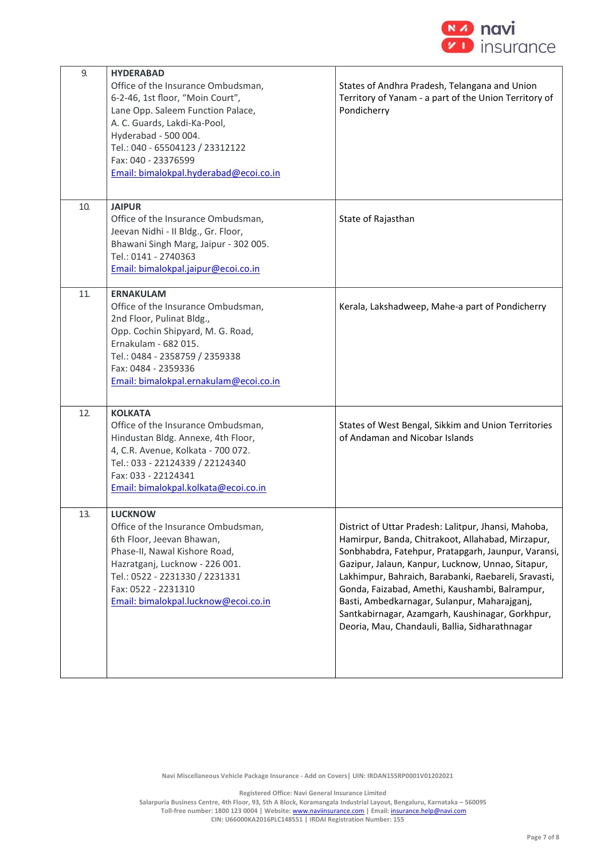

| 9.  | <b>HYDERABAD</b>                       |                                                       |
|-----|----------------------------------------|-------------------------------------------------------|
|     | Office of the Insurance Ombudsman,     | States of Andhra Pradesh, Telangana and Union         |
|     | 6-2-46, 1st floor, "Moin Court",       | Territory of Yanam - a part of the Union Territory of |
|     | Lane Opp. Saleem Function Palace,      | Pondicherry                                           |
|     |                                        |                                                       |
|     | A. C. Guards, Lakdi-Ka-Pool,           |                                                       |
|     | Hyderabad - 500 004.                   |                                                       |
|     | Tel.: 040 - 65504123 / 23312122        |                                                       |
|     | Fax: 040 - 23376599                    |                                                       |
|     | Email: bimalokpal.hyderabad@ecoi.co.in |                                                       |
|     |                                        |                                                       |
|     |                                        |                                                       |
| 10. | <b>JAIPUR</b>                          |                                                       |
|     | Office of the Insurance Ombudsman,     | State of Rajasthan                                    |
|     | Jeevan Nidhi - II Bldg., Gr. Floor,    |                                                       |
|     | Bhawani Singh Marg, Jaipur - 302 005.  |                                                       |
|     |                                        |                                                       |
|     | Tel.: 0141 - 2740363                   |                                                       |
|     | Email: bimalokpal.jaipur@ecoi.co.in    |                                                       |
|     |                                        |                                                       |
| 11  | <b>ERNAKULAM</b>                       |                                                       |
|     | Office of the Insurance Ombudsman,     | Kerala, Lakshadweep, Mahe-a part of Pondicherry       |
|     | 2nd Floor, Pulinat Bldg.,              |                                                       |
|     | Opp. Cochin Shipyard, M. G. Road,      |                                                       |
|     | Ernakulam - 682 015.                   |                                                       |
|     | Tel.: 0484 - 2358759 / 2359338         |                                                       |
|     |                                        |                                                       |
|     | Fax: 0484 - 2359336                    |                                                       |
|     | Email: bimalokpal.ernakulam@ecoi.co.in |                                                       |
|     |                                        |                                                       |
| 12. | <b>KOLKATA</b>                         |                                                       |
|     | Office of the Insurance Ombudsman,     | States of West Bengal, Sikkim and Union Territories   |
|     |                                        | of Andaman and Nicobar Islands                        |
|     | Hindustan Bldg. Annexe, 4th Floor,     |                                                       |
|     | 4, C.R. Avenue, Kolkata - 700 072.     |                                                       |
|     | Tel.: 033 - 22124339 / 22124340        |                                                       |
|     | Fax: 033 - 22124341                    |                                                       |
|     | Email: bimalokpal.kolkata@ecoi.co.in   |                                                       |
|     |                                        |                                                       |
| 13. | <b>LUCKNOW</b>                         |                                                       |
|     | Office of the Insurance Ombudsman,     | District of Uttar Pradesh: Lalitpur, Jhansi, Mahoba,  |
|     |                                        |                                                       |
|     | 6th Floor, Jeevan Bhawan,              | Hamirpur, Banda, Chitrakoot, Allahabad, Mirzapur,     |
|     | Phase-II, Nawal Kishore Road,          | Sonbhabdra, Fatehpur, Pratapgarh, Jaunpur, Varansi,   |
|     | Hazratganj, Lucknow - 226 001.         | Gazipur, Jalaun, Kanpur, Lucknow, Unnao, Sitapur,     |
|     | Tel.: 0522 - 2231330 / 2231331         | Lakhimpur, Bahraich, Barabanki, Raebareli, Sravasti,  |
|     | Fax: 0522 - 2231310                    | Gonda, Faizabad, Amethi, Kaushambi, Balrampur,        |
|     | Email: bimalokpal.lucknow@ecoi.co.in   | Basti, Ambedkarnagar, Sulanpur, Maharajganj,          |
|     |                                        | Santkabirnagar, Azamgarh, Kaushinagar, Gorkhpur,      |
|     |                                        |                                                       |
|     |                                        | Deoria, Mau, Chandauli, Ballia, Sidharathnagar        |
|     |                                        |                                                       |
|     |                                        |                                                       |
|     |                                        |                                                       |

**Navi Miscellaneous Vehicle Package Insurance - Add on Covers| UIN: IRDAN155RP0001V01202021**

**Registered Office: Navi General Insurance Limited**